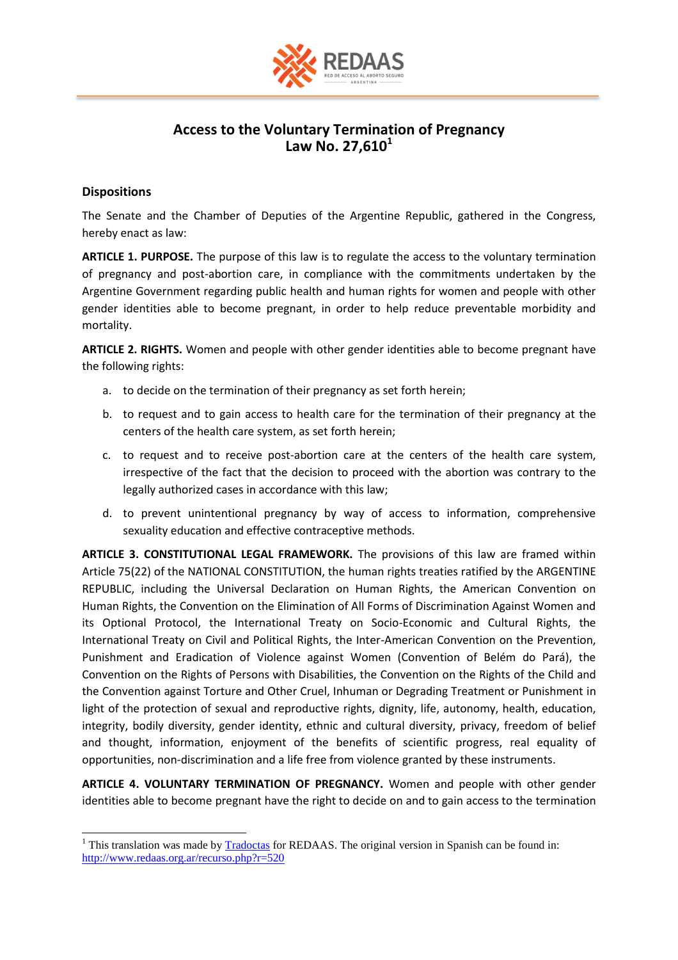

## **Access to the Voluntary Termination of Pregnancy Law No. 27,610<sup>1</sup>**

## **Dispositions**

The Senate and the Chamber of Deputies of the Argentine Republic, gathered in the Congress, hereby enact as law:

**ARTICLE 1. PURPOSE.** The purpose of this law is to regulate the access to the voluntary termination of pregnancy and post-abortion care, in compliance with the commitments undertaken by the Argentine Government regarding public health and human rights for women and people with other gender identities able to become pregnant, in order to help reduce preventable morbidity and mortality.

**ARTICLE 2. RIGHTS.** Women and people with other gender identities able to become pregnant have the following rights:

- a. to decide on the termination of their pregnancy as set forth herein;
- b. to request and to gain access to health care for the termination of their pregnancy at the centers of the health care system, as set forth herein;
- c. to request and to receive post-abortion care at the centers of the health care system, irrespective of the fact that the decision to proceed with the abortion was contrary to the legally authorized cases in accordance with this law;
- d. to prevent unintentional pregnancy by way of access to information, comprehensive sexuality education and effective contraceptive methods.

**ARTICLE 3. CONSTITUTIONAL LEGAL FRAMEWORK.** The provisions of this law are framed within Article 75(22) of the NATIONAL CONSTITUTION, the human rights treaties ratified by the ARGENTINE REPUBLIC, including the Universal Declaration on Human Rights, the American Convention on Human Rights, the Convention on the Elimination of All Forms of Discrimination Against Women and its Optional Protocol, the International Treaty on Socio-Economic and Cultural Rights, the International Treaty on Civil and Political Rights, the Inter-American Convention on the Prevention, Punishment and Eradication of Violence against Women (Convention of Belém do Pará), the Convention on the Rights of Persons with Disabilities, the Convention on the Rights of the Child and the Convention against Torture and Other Cruel, Inhuman or Degrading Treatment or Punishment in light of the protection of sexual and reproductive rights, dignity, life, autonomy, health, education, integrity, bodily diversity, gender identity, ethnic and cultural diversity, privacy, freedom of belief and thought, information, enjoyment of the benefits of scientific progress, real equality of opportunities, non-discrimination and a life free from violence granted by these instruments.

**ARTICLE 4. VOLUNTARY TERMINATION OF PREGNANCY.** Women and people with other gender identities able to become pregnant have the right to decide on and to gain access to the termination

 $\overline{a}$  $1$  This translation was made by  $\overline{\text{Tradoctas}}$  for REDAAS. The original version in Spanish can be found in: <http://www.redaas.org.ar/recurso.php?r=520>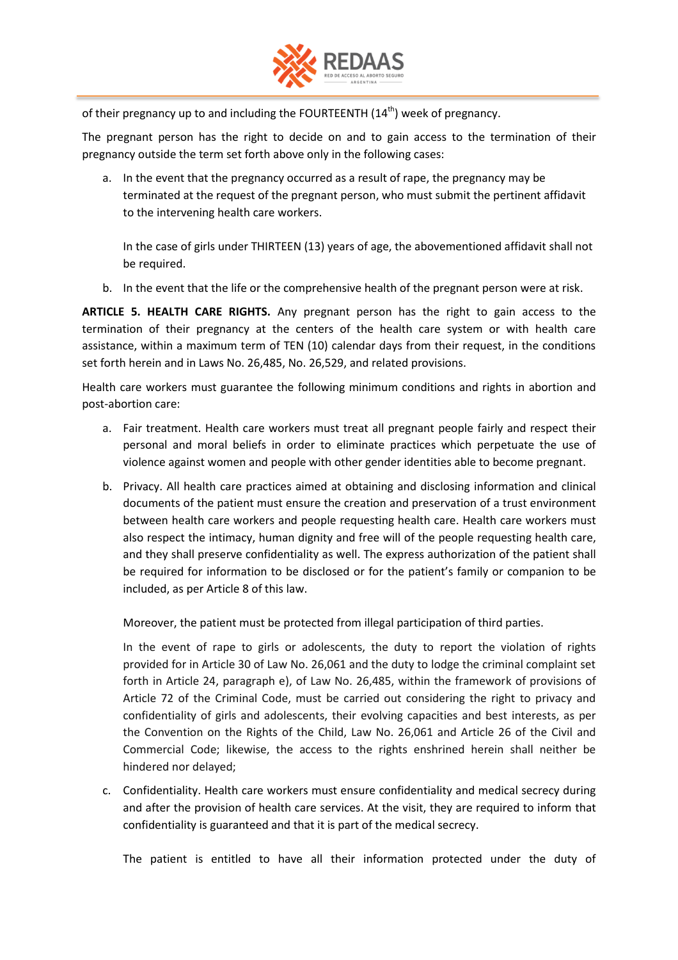

of their pregnancy up to and including the FOURTEENTH  $(14<sup>th</sup>)$  week of pregnancy.

The pregnant person has the right to decide on and to gain access to the termination of their pregnancy outside the term set forth above only in the following cases:

a. In the event that the pregnancy occurred as a result of rape, the pregnancy may be terminated at the request of the pregnant person, who must submit the pertinent affidavit to the intervening health care workers.

In the case of girls under THIRTEEN (13) years of age, the abovementioned affidavit shall not be required.

b. In the event that the life or the comprehensive health of the pregnant person were at risk.

**ARTICLE 5. HEALTH CARE RIGHTS.** Any pregnant person has the right to gain access to the termination of their pregnancy at the centers of the health care system or with health care assistance, within a maximum term of TEN (10) calendar days from their request, in the conditions set forth herein and in Laws No. 26,485, No. 26,529, and related provisions.

Health care workers must guarantee the following minimum conditions and rights in abortion and post-abortion care:

- a. Fair treatment. Health care workers must treat all pregnant people fairly and respect their personal and moral beliefs in order to eliminate practices which perpetuate the use of violence against women and people with other gender identities able to become pregnant.
- b. Privacy. All health care practices aimed at obtaining and disclosing information and clinical documents of the patient must ensure the creation and preservation of a trust environment between health care workers and people requesting health care. Health care workers must also respect the intimacy, human dignity and free will of the people requesting health care, and they shall preserve confidentiality as well. The express authorization of the patient shall be required for information to be disclosed or for the patient's family or companion to be included, as per Article 8 of this law.

Moreover, the patient must be protected from illegal participation of third parties.

In the event of rape to girls or adolescents, the duty to report the violation of rights provided for in Article 30 of Law No. 26,061 and the duty to lodge the criminal complaint set forth in Article 24, paragraph e), of Law No. 26,485, within the framework of provisions of Article 72 of the Criminal Code, must be carried out considering the right to privacy and confidentiality of girls and adolescents, their evolving capacities and best interests, as per the Convention on the Rights of the Child, Law No. 26,061 and Article 26 of the Civil and Commercial Code; likewise, the access to the rights enshrined herein shall neither be hindered nor delayed;

c. Confidentiality. Health care workers must ensure confidentiality and medical secrecy during and after the provision of health care services. At the visit, they are required to inform that confidentiality is guaranteed and that it is part of the medical secrecy.

The patient is entitled to have all their information protected under the duty of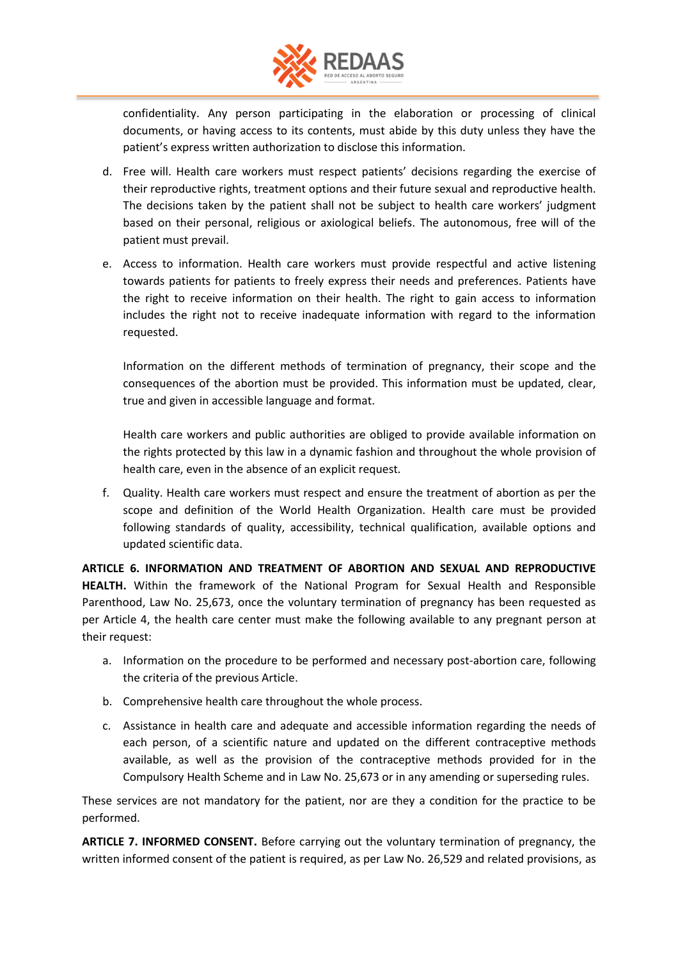

confidentiality. Any person participating in the elaboration or processing of clinical documents, or having access to its contents, must abide by this duty unless they have the patient's express written authorization to disclose this information.

- d. Free will. Health care workers must respect patients' decisions regarding the exercise of their reproductive rights, treatment options and their future sexual and reproductive health. The decisions taken by the patient shall not be subject to health care workers' judgment based on their personal, religious or axiological beliefs. The autonomous, free will of the patient must prevail.
- e. Access to information. Health care workers must provide respectful and active listening towards patients for patients to freely express their needs and preferences. Patients have the right to receive information on their health. The right to gain access to information includes the right not to receive inadequate information with regard to the information requested.

Information on the different methods of termination of pregnancy, their scope and the consequences of the abortion must be provided. This information must be updated, clear, true and given in accessible language and format.

Health care workers and public authorities are obliged to provide available information on the rights protected by this law in a dynamic fashion and throughout the whole provision of health care, even in the absence of an explicit request.

f. Quality. Health care workers must respect and ensure the treatment of abortion as per the scope and definition of the World Health Organization. Health care must be provided following standards of quality, accessibility, technical qualification, available options and updated scientific data.

**ARTICLE 6. INFORMATION AND TREATMENT OF ABORTION AND SEXUAL AND REPRODUCTIVE HEALTH.** Within the framework of the National Program for Sexual Health and Responsible Parenthood, Law No. 25,673, once the voluntary termination of pregnancy has been requested as per Article 4, the health care center must make the following available to any pregnant person at their request:

- a. Information on the procedure to be performed and necessary post-abortion care, following the criteria of the previous Article.
- b. Comprehensive health care throughout the whole process.
- c. Assistance in health care and adequate and accessible information regarding the needs of each person, of a scientific nature and updated on the different contraceptive methods available, as well as the provision of the contraceptive methods provided for in the Compulsory Health Scheme and in Law No. 25,673 or in any amending or superseding rules.

These services are not mandatory for the patient, nor are they a condition for the practice to be performed.

**ARTICLE 7. INFORMED CONSENT.** Before carrying out the voluntary termination of pregnancy, the written informed consent of the patient is required, as per Law No. 26,529 and related provisions, as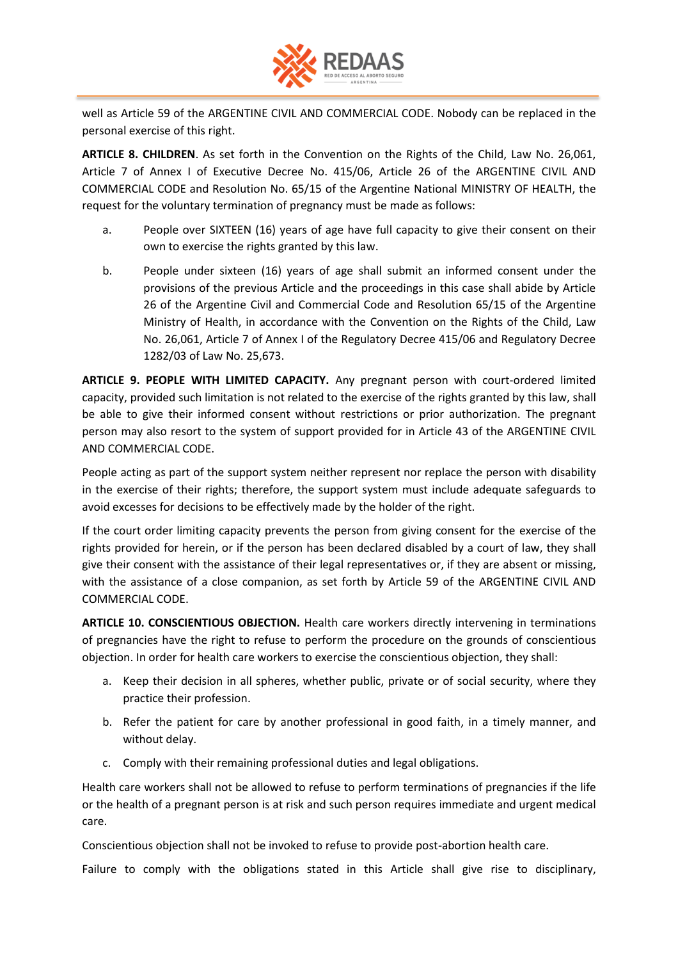

well as Article 59 of the ARGENTINE CIVIL AND COMMERCIAL CODE. Nobody can be replaced in the personal exercise of this right.

**ARTICLE 8. CHILDREN**. As set forth in the Convention on the Rights of the Child, Law No. 26,061, Article 7 of Annex I of Executive Decree No. 415/06, Article 26 of the ARGENTINE CIVIL AND COMMERCIAL CODE and Resolution No. 65/15 of the Argentine National MINISTRY OF HEALTH, the request for the voluntary termination of pregnancy must be made as follows:

- a. People over SIXTEEN (16) years of age have full capacity to give their consent on their own to exercise the rights granted by this law.
- b. People under sixteen (16) years of age shall submit an informed consent under the provisions of the previous Article and the proceedings in this case shall abide by Article 26 of the Argentine Civil and Commercial Code and Resolution 65/15 of the Argentine Ministry of Health, in accordance with the Convention on the Rights of the Child, Law No. 26,061, Article 7 of Annex I of the Regulatory Decree 415/06 and Regulatory Decree 1282/03 of Law No. 25,673.

**ARTICLE 9. PEOPLE WITH LIMITED CAPACITY.** Any pregnant person with court-ordered limited capacity, provided such limitation is not related to the exercise of the rights granted by this law, shall be able to give their informed consent without restrictions or prior authorization. The pregnant person may also resort to the system of support provided for in Article 43 of the ARGENTINE CIVIL AND COMMERCIAL CODE.

People acting as part of the support system neither represent nor replace the person with disability in the exercise of their rights; therefore, the support system must include adequate safeguards to avoid excesses for decisions to be effectively made by the holder of the right.

If the court order limiting capacity prevents the person from giving consent for the exercise of the rights provided for herein, or if the person has been declared disabled by a court of law, they shall give their consent with the assistance of their legal representatives or, if they are absent or missing, with the assistance of a close companion, as set forth by Article 59 of the ARGENTINE CIVIL AND COMMERCIAL CODE.

**ARTICLE 10. CONSCIENTIOUS OBJECTION.** Health care workers directly intervening in terminations of pregnancies have the right to refuse to perform the procedure on the grounds of conscientious objection. In order for health care workers to exercise the conscientious objection, they shall:

- a. Keep their decision in all spheres, whether public, private or of social security, where they practice their profession.
- b. Refer the patient for care by another professional in good faith, in a timely manner, and without delay.
- c. Comply with their remaining professional duties and legal obligations.

Health care workers shall not be allowed to refuse to perform terminations of pregnancies if the life or the health of a pregnant person is at risk and such person requires immediate and urgent medical care.

Conscientious objection shall not be invoked to refuse to provide post-abortion health care.

Failure to comply with the obligations stated in this Article shall give rise to disciplinary,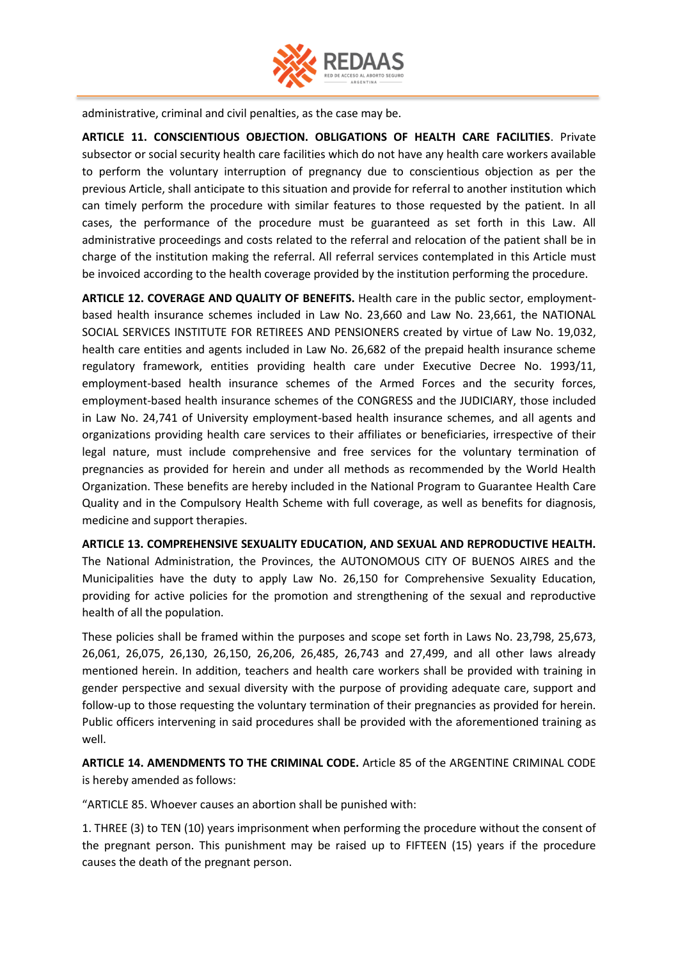

administrative, criminal and civil penalties, as the case may be.

**ARTICLE 11. CONSCIENTIOUS OBJECTION. OBLIGATIONS OF HEALTH CARE FACILITIES**. Private subsector or social security health care facilities which do not have any health care workers available to perform the voluntary interruption of pregnancy due to conscientious objection as per the previous Article, shall anticipate to this situation and provide for referral to another institution which can timely perform the procedure with similar features to those requested by the patient. In all cases, the performance of the procedure must be guaranteed as set forth in this Law. All administrative proceedings and costs related to the referral and relocation of the patient shall be in charge of the institution making the referral. All referral services contemplated in this Article must be invoiced according to the health coverage provided by the institution performing the procedure.

**ARTICLE 12. COVERAGE AND QUALITY OF BENEFITS.** Health care in the public sector, employmentbased health insurance schemes included in Law No. 23,660 and Law No. 23,661, the NATIONAL SOCIAL SERVICES INSTITUTE FOR RETIREES AND PENSIONERS created by virtue of Law No. 19,032, health care entities and agents included in Law No. 26,682 of the prepaid health insurance scheme regulatory framework, entities providing health care under Executive Decree No. 1993/11, employment-based health insurance schemes of the Armed Forces and the security forces, employment-based health insurance schemes of the CONGRESS and the JUDICIARY, those included in Law No. 24,741 of University employment-based health insurance schemes, and all agents and organizations providing health care services to their affiliates or beneficiaries, irrespective of their legal nature, must include comprehensive and free services for the voluntary termination of pregnancies as provided for herein and under all methods as recommended by the World Health Organization. These benefits are hereby included in the National Program to Guarantee Health Care Quality and in the Compulsory Health Scheme with full coverage, as well as benefits for diagnosis, medicine and support therapies.

**ARTICLE 13. COMPREHENSIVE SEXUALITY EDUCATION, AND SEXUAL AND REPRODUCTIVE HEALTH.**  The National Administration, the Provinces, the AUTONOMOUS CITY OF BUENOS AIRES and the Municipalities have the duty to apply Law No. 26,150 for Comprehensive Sexuality Education, providing for active policies for the promotion and strengthening of the sexual and reproductive health of all the population.

These policies shall be framed within the purposes and scope set forth in Laws No. 23,798, 25,673, 26,061, 26,075, 26,130, 26,150, 26,206, 26,485, 26,743 and 27,499, and all other laws already mentioned herein. In addition, teachers and health care workers shall be provided with training in gender perspective and sexual diversity with the purpose of providing adequate care, support and follow-up to those requesting the voluntary termination of their pregnancies as provided for herein. Public officers intervening in said procedures shall be provided with the aforementioned training as well.

**ARTICLE 14. AMENDMENTS TO THE CRIMINAL CODE.** Article 85 of the ARGENTINE CRIMINAL CODE is hereby amended as follows:

"ARTICLE 85. Whoever causes an abortion shall be punished with:

1. THREE (3) to TEN (10) years imprisonment when performing the procedure without the consent of the pregnant person. This punishment may be raised up to FIFTEEN (15) years if the procedure causes the death of the pregnant person.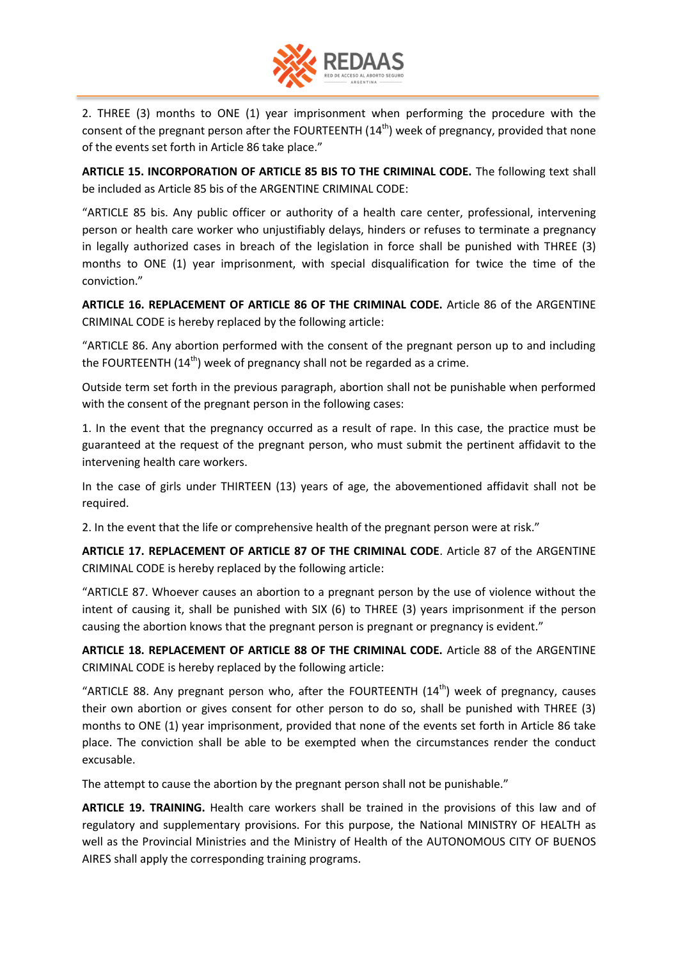

2. THREE (3) months to ONE (1) year imprisonment when performing the procedure with the consent of the pregnant person after the FOURTEENTH  $(14<sup>th</sup>)$  week of pregnancy, provided that none of the events set forth in Article 86 take place."

**ARTICLE 15. INCORPORATION OF ARTICLE 85 BIS TO THE CRIMINAL CODE.** The following text shall be included as Article 85 bis of the ARGENTINE CRIMINAL CODE:

"ARTICLE 85 bis. Any public officer or authority of a health care center, professional, intervening person or health care worker who unjustifiably delays, hinders or refuses to terminate a pregnancy in legally authorized cases in breach of the legislation in force shall be punished with THREE (3) months to ONE (1) year imprisonment, with special disqualification for twice the time of the conviction."

**ARTICLE 16. REPLACEMENT OF ARTICLE 86 OF THE CRIMINAL CODE.** Article 86 of the ARGENTINE CRIMINAL CODE is hereby replaced by the following article:

"ARTICLE 86. Any abortion performed with the consent of the pregnant person up to and including the FOURTEENTH  $(14<sup>th</sup>)$  week of pregnancy shall not be regarded as a crime.

Outside term set forth in the previous paragraph, abortion shall not be punishable when performed with the consent of the pregnant person in the following cases:

1. In the event that the pregnancy occurred as a result of rape. In this case, the practice must be guaranteed at the request of the pregnant person, who must submit the pertinent affidavit to the intervening health care workers.

In the case of girls under THIRTEEN (13) years of age, the abovementioned affidavit shall not be required.

2. In the event that the life or comprehensive health of the pregnant person were at risk."

**ARTICLE 17. REPLACEMENT OF ARTICLE 87 OF THE CRIMINAL CODE**. Article 87 of the ARGENTINE CRIMINAL CODE is hereby replaced by the following article:

"ARTICLE 87. Whoever causes an abortion to a pregnant person by the use of violence without the intent of causing it, shall be punished with SIX (6) to THREE (3) years imprisonment if the person causing the abortion knows that the pregnant person is pregnant or pregnancy is evident."

**ARTICLE 18. REPLACEMENT OF ARTICLE 88 OF THE CRIMINAL CODE.** Article 88 of the ARGENTINE CRIMINAL CODE is hereby replaced by the following article:

"ARTICLE 88. Any pregnant person who, after the FOURTEENTH  $(14<sup>th</sup>)$  week of pregnancy, causes their own abortion or gives consent for other person to do so, shall be punished with THREE (3) months to ONE (1) year imprisonment, provided that none of the events set forth in Article 86 take place. The conviction shall be able to be exempted when the circumstances render the conduct excusable.

The attempt to cause the abortion by the pregnant person shall not be punishable."

**ARTICLE 19. TRAINING.** Health care workers shall be trained in the provisions of this law and of regulatory and supplementary provisions. For this purpose, the National MINISTRY OF HEALTH as well as the Provincial Ministries and the Ministry of Health of the AUTONOMOUS CITY OF BUENOS AIRES shall apply the corresponding training programs.